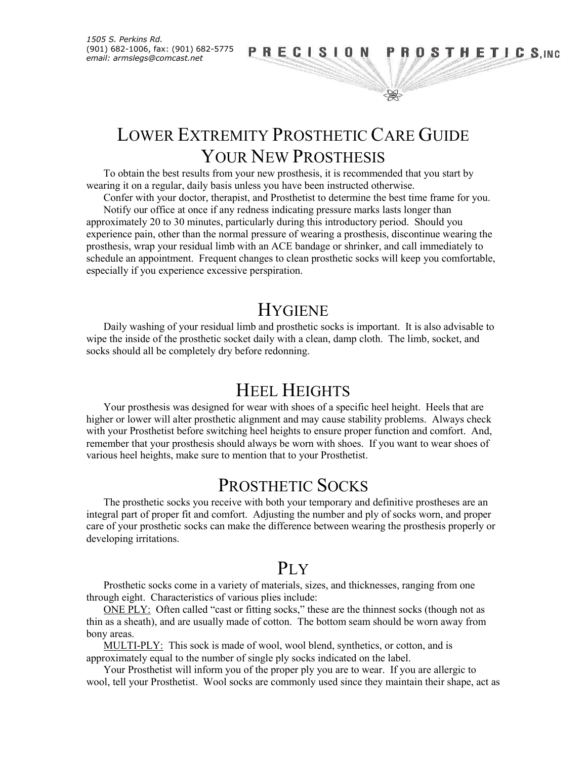*1505 S. Perkins Rd.* (901) 682-1006, fax: (901) 682-5775

### *email: armslegs@comcast.net*  $PRECISION PROSTHETICS, INC$

# LOWER EXTREMITY PROSTHETIC CARE GUIDE YOUR NEW PROSTHESIS

To obtain the best results from your new prosthesis, it is recommended that you start by wearing it on a regular, daily basis unless you have been instructed otherwise.

Confer with your doctor, therapist, and Prosthetist to determine the best time frame for you. Notify our office at once if any redness indicating pressure marks lasts longer than approximately 20 to 30 minutes, particularly during this introductory period. Should you experience pain, other than the normal pressure of wearing a prosthesis, discontinue wearing the prosthesis, wrap your residual limb with an ACE bandage or shrinker, and call immediately to schedule an appointment. Frequent changes to clean prosthetic socks will keep you comfortable, especially if you experience excessive perspiration.

### **HYGIENE**

Daily washing of your residual limb and prosthetic socks is important. It is also advisable to wipe the inside of the prosthetic socket daily with a clean, damp cloth. The limb, socket, and socks should all be completely dry before redonning.

## HEEL HEIGHTS

Your prosthesis was designed for wear with shoes of a specific heel height. Heels that are higher or lower will alter prosthetic alignment and may cause stability problems. Always check with your Prosthetist before switching heel heights to ensure proper function and comfort. And, remember that your prosthesis should always be worn with shoes. If you want to wear shoes of various heel heights, make sure to mention that to your Prosthetist.

### PROSTHETIC SOCKS

The prosthetic socks you receive with both your temporary and definitive prostheses are an integral part of proper fit and comfort. Adjusting the number and ply of socks worn, and proper care of your prosthetic socks can make the difference between wearing the prosthesis properly or developing irritations.

### PLY

Prosthetic socks come in a variety of materials, sizes, and thicknesses, ranging from one through eight. Characteristics of various plies include:

ONE PLY: Often called "cast or fitting socks," these are the thinnest socks (though not as thin as a sheath), and are usually made of cotton. The bottom seam should be worn away from bony areas.

MULTI-PLY: This sock is made of wool, wool blend, synthetics, or cotton, and is approximately equal to the number of single ply socks indicated on the label.

Your Prosthetist will inform you of the proper ply you are to wear. If you are allergic to wool, tell your Prosthetist. Wool socks are commonly used since they maintain their shape, act as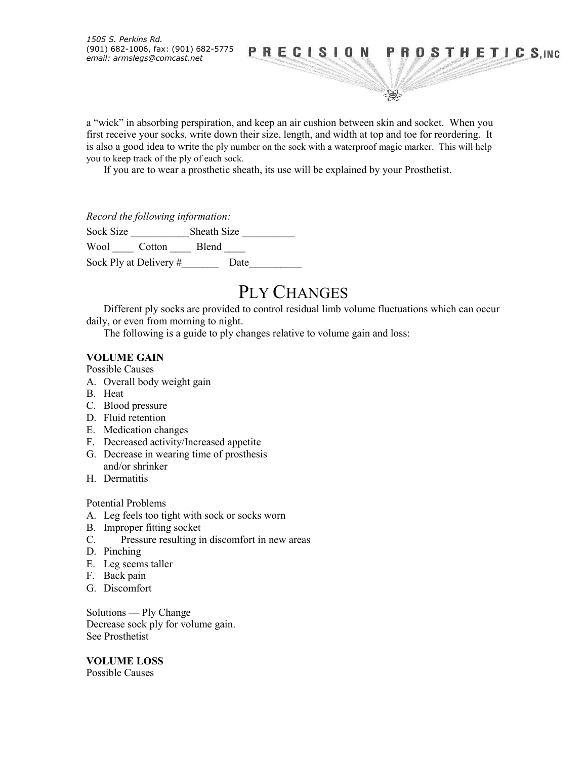*1505 S. Perkins Rd.* (901) 682-1006, fax: (901) 682-5775

### *email: armslegs@comcast.net*  $PRECISION PROSTHETICS, INC$

\$

a "wick" in absorbing perspiration, and keep an air cushion between skin and socket. When you first receive your socks, write down their size, length, and width at top and toe for reordering. It is also a good idea to write the ply number on the sock with a waterproof magic marker. This will help you to keep track of the ply of each sock.

If you are to wear a prosthetic sheath, its use will be explained by your Prosthetist.

*Record the following information:*

Sock Size \_\_\_\_\_\_\_\_\_\_\_Sheath Size \_\_\_\_\_\_\_\_\_\_ Wool \_\_\_\_\_ Cotton \_\_\_\_\_ Blend \_\_\_\_ Sock Ply at Delivery #\_\_\_\_\_\_\_ Date\_\_\_\_\_\_\_\_\_\_

### PLY CHANGES

Different ply socks are provided to control residual limb volume fluctuations which can occur daily, or even from morning to night.

The following is a guide to ply changes relative to volume gain and loss:

#### **VOLUME GAIN**

Possible Causes

- A. Overall body weight gain
- B. Heat
- C. Blood pressure
- D. Fluid retention
- E. Medication changes
- F. Decreased activity/Increased appetite
- G. Decrease in wearing time of prosthesis and/or shrinker
- H. Dermatitis

#### Potential Problems

- A. Leg feels too tight with sock or socks worn
- B. Improper fitting socket
- C. Pressure resulting in discomfort in new areas
- D. Pinching
- E. Leg seems taller
- F. Back pain
- G. Discomfort

Solutions — Ply Change Decrease sock ply for volume gain. See Prosthetist

**VOLUME LOSS** Possible Causes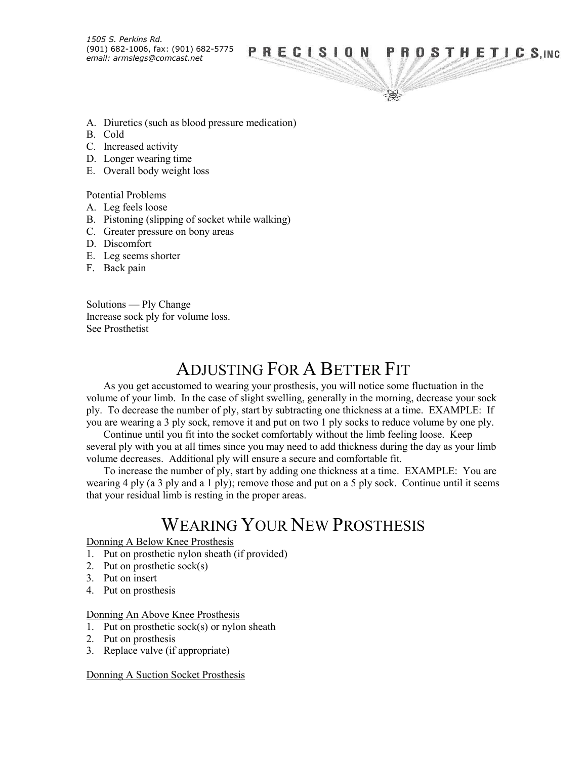### *email: armslegs@comcast.net* **PRECISION PROSTHETICS, INC**<br>email: armslegs@comcast.net

\$

- A. Diuretics (such as blood pressure medication)
- B. Cold
- C. Increased activity
- D. Longer wearing time
- E. Overall body weight loss

Potential Problems

- A. Leg feels loose
- B. Pistoning (slipping of socket while walking)
- C. Greater pressure on bony areas
- D. Discomfort
- E. Leg seems shorter
- F. Back pain

Solutions — Ply Change Increase sock ply for volume loss. See Prosthetist

## ADJUSTING FOR A BETTER FIT

As you get accustomed to wearing your prosthesis, you will notice some fluctuation in the volume of your limb. In the case of slight swelling, generally in the morning, decrease your sock ply. To decrease the number of ply, start by subtracting one thickness at a time. EXAMPLE: If you are wearing a 3 ply sock, remove it and put on two 1 ply socks to reduce volume by one ply.

Continue until you fit into the socket comfortably without the limb feeling loose. Keep several ply with you at all times since you may need to add thickness during the day as your limb volume decreases. Additional ply will ensure a secure and comfortable fit.

To increase the number of ply, start by adding one thickness at a time. EXAMPLE: You are wearing 4 ply (a 3 ply and a 1 ply); remove those and put on a 5 ply sock. Continue until it seems that your residual limb is resting in the proper areas.

## WEARING YOUR NEW PROSTHESIS

Donning A Below Knee Prosthesis

- 1. Put on prosthetic nylon sheath (if provided)
- 2. Put on prosthetic sock(s)
- 3. Put on insert
- 4. Put on prosthesis

#### Donning An Above Knee Prosthesis

- 1. Put on prosthetic sock(s) or nylon sheath
- 2. Put on prosthesis
- 3. Replace valve (if appropriate)

Donning A Suction Socket Prosthesis